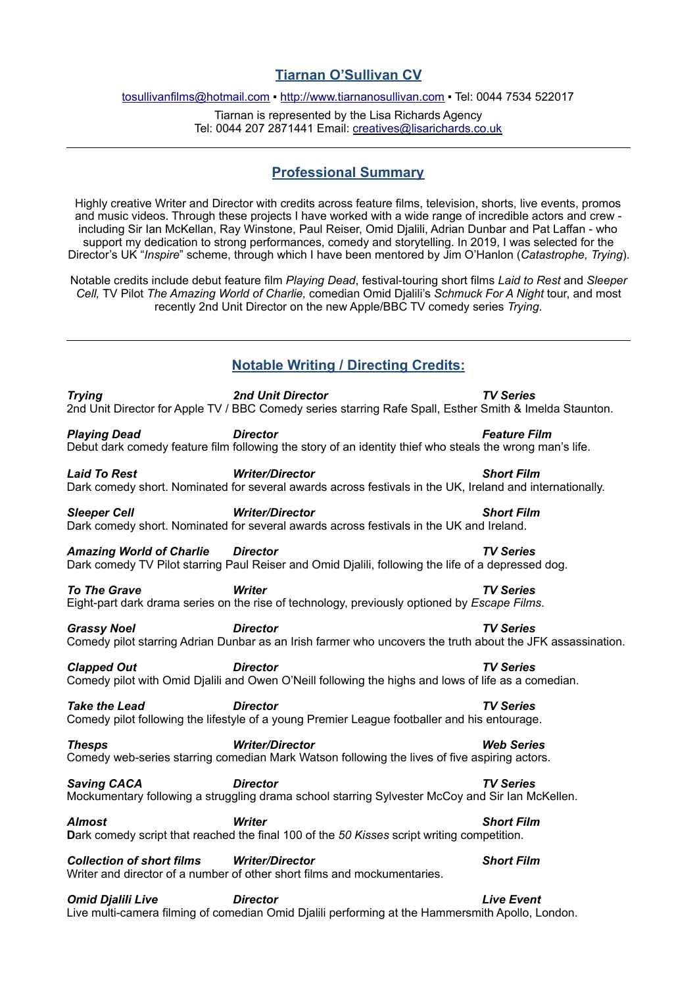### **Tiarnan O'Sullivan CV**

[tosullivanfilms@hotmail.com](mailto:tosullivanfilms@hotmail.com) ▪ <http://www.tiarnanosullivan.com> ▪ Tel: 0044 7534 522017

Tiarnan is represented by the Lisa Richards Agency Tel: 0044 207 2871441 Email: [creatives@lisarichards.co.uk](mailto:creatives@lisarichards.co.uk)

#### **Professional Summary**

Highly creative Writer and Director with credits across feature films, television, shorts, live events, promos and music videos. Through these projects I have worked with a wide range of incredible actors and crew including Sir Ian McKellan, Ray Winstone, Paul Reiser, Omid Djalili, Adrian Dunbar and Pat Laffan - who support my dedication to strong performances, comedy and storytelling. In 2019, I was selected for the Director's UK "*Inspire*" scheme, through which I have been mentored by Jim O'Hanlon (*Catastrophe, Trying*).

Notable credits include debut feature film *Playing Dead*, festival-touring short films *Laid to Rest* and *Sleeper Cell,* TV Pilot *The Amazing World of Charlie,* comedian Omid Djalili's *Schmuck For A Night* tour, and most recently 2nd Unit Director on the new Apple/BBC TV comedy series *Trying*.

## **Notable Writing / Directing Credits:**

| <b>Trying</b>                    | 2nd Unit Director<br>2nd Unit Director for Apple TV / BBC Comedy series starring Rafe Spall, Esther Smith & Imelda Staunton.       | <b>TV Series</b>    |
|----------------------------------|------------------------------------------------------------------------------------------------------------------------------------|---------------------|
| <b>Playing Dead</b>              | <b>Director</b><br>Debut dark comedy feature film following the story of an identity thief who steals the wrong man's life.        | <b>Feature Film</b> |
| <b>Laid To Rest</b>              | <b>Writer/Director</b><br>Dark comedy short. Nominated for several awards across festivals in the UK, Ireland and internationally. | <b>Short Film</b>   |
| <b>Sleeper Cell</b>              | <b>Writer/Director</b><br>Dark comedy short. Nominated for several awards across festivals in the UK and Ireland.                  | <b>Short Film</b>   |
| <b>Amazing World of Charlie</b>  | <b>Director</b><br>Dark comedy TV Pilot starring Paul Reiser and Omid Djalili, following the life of a depressed dog.              | <b>TV Series</b>    |
| <b>To The Grave</b>              | <b>Writer</b><br>Eight-part dark drama series on the rise of technology, previously optioned by Escape Films.                      | <b>TV Series</b>    |
| <b>Grassy Noel</b>               | <b>Director</b><br>Comedy pilot starring Adrian Dunbar as an Irish farmer who uncovers the truth about the JFK assassination.      | <b>TV Series</b>    |
| <b>Clapped Out</b>               | <b>Director</b><br>Comedy pilot with Omid Djalili and Owen O'Neill following the highs and lows of life as a comedian.             | <b>TV Series</b>    |
| <b>Take the Lead</b>             | <b>Director</b><br>Comedy pilot following the lifestyle of a young Premier League footballer and his entourage.                    | <b>TV Series</b>    |
| <b>Thesps</b>                    | <b>Writer/Director</b><br>Comedy web-series starring comedian Mark Watson following the lives of five aspiring actors.             | <b>Web Series</b>   |
| <b>Saving CACA</b>               | <b>Director</b><br>Mockumentary following a struggling drama school starring Sylvester McCoy and Sir Ian McKellen.                 | <b>TV Series</b>    |
| <b>Almost</b>                    | <b>Writer</b><br>Dark comedy script that reached the final 100 of the 50 Kisses script writing competition.                        | <b>Short Film</b>   |
| <b>Collection of short films</b> | <b>Writer/Director</b><br>Writer and director of a number of other short films and mockumentaries.                                 | <b>Short Film</b>   |
| <b>Omid Djalili Live</b>         | <b>Director</b>                                                                                                                    | <b>Live Event</b>   |

Live multi-camera filming of comedian Omid Djalili performing at the Hammersmith Apollo, London.